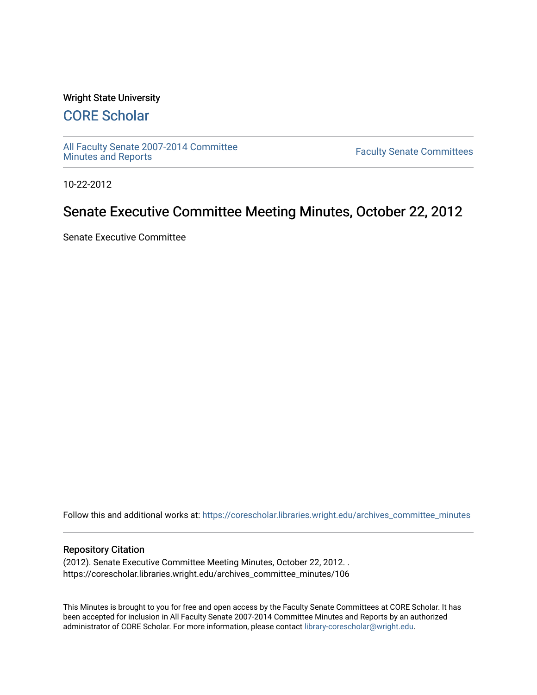#### Wright State University

# [CORE Scholar](https://corescholar.libraries.wright.edu/)

[All Faculty Senate 2007-2014 Committee](https://corescholar.libraries.wright.edu/archives_committee_minutes)

**Faculty Senate Committees** 

10-22-2012

## Senate Executive Committee Meeting Minutes, October 22, 2012

Senate Executive Committee

Follow this and additional works at: [https://corescholar.libraries.wright.edu/archives\\_committee\\_minutes](https://corescholar.libraries.wright.edu/archives_committee_minutes?utm_source=corescholar.libraries.wright.edu%2Farchives_committee_minutes%2F106&utm_medium=PDF&utm_campaign=PDFCoverPages) 

#### Repository Citation

(2012). Senate Executive Committee Meeting Minutes, October 22, 2012. . https://corescholar.libraries.wright.edu/archives\_committee\_minutes/106

This Minutes is brought to you for free and open access by the Faculty Senate Committees at CORE Scholar. It has been accepted for inclusion in All Faculty Senate 2007-2014 Committee Minutes and Reports by an authorized administrator of CORE Scholar. For more information, please contact [library-corescholar@wright.edu.](mailto:library-corescholar@wright.edu)